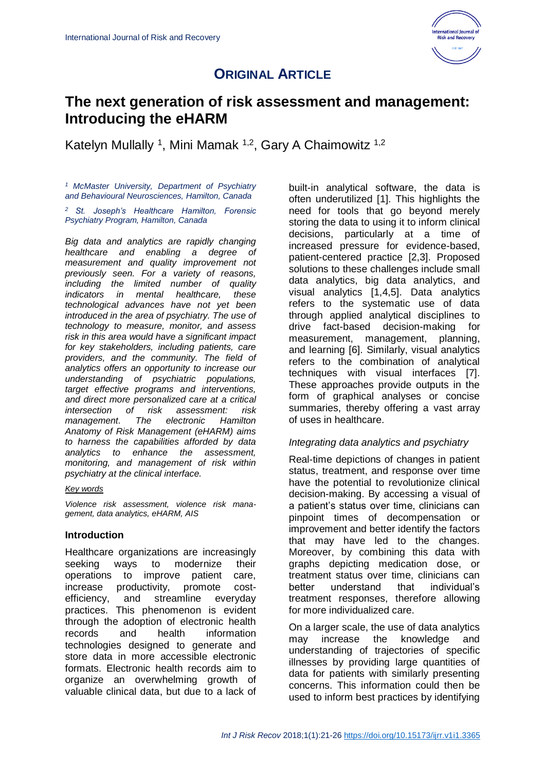

## **ORIGINAL ARTICLE**

# **The next generation of risk assessment and management: Introducing the eHARM**

Katelyn Mullally <sup>1</sup>, Mini Mamak <sup>1,2</sup>, Gary A Chaimowitz <sup>1,2</sup>

*<sup>1</sup> McMaster University, Department of Psychiatry and Behavioural Neurosciences, Hamilton, Canada*

*<sup>2</sup>St. Joseph's Healthcare Hamilton, Forensic Psychiatry Program, Hamilton, Canada*

*Big data and analytics are rapidly changing healthcare and enabling a degree of measurement and quality improvement not previously seen. For a variety of reasons, including the limited number of quality indicators in mental healthcare, these technological advances have not yet been introduced in the area of psychiatry. The use of technology to measure, monitor, and assess risk in this area would have a significant impact for key stakeholders, including patients, care providers, and the community. The field of analytics offers an opportunity to increase our understanding of psychiatric populations, target effective programs and interventions, and direct more personalized care at a critical intersection of risk assessment: risk management. The electronic Hamilton Anatomy of Risk Management (eHARM) aims to harness the capabilities afforded by data analytics to enhance the assessment, monitoring, and management of risk within psychiatry at the clinical interface.*

#### *Key words*

*Violence risk assessment, violence risk management, data analytics, eHARM, AIS*

### **Introduction**

Healthcare organizations are increasingly seeking ways to modernize their operations to improve patient care, increase productivity, promote costefficiency, and streamline everyday practices. This phenomenon is evident through the adoption of electronic health records and health information technologies designed to generate and store data in more accessible electronic formats. Electronic health records aim to organize an overwhelming growth of valuable clinical data, but due to a lack of

built-in analytical software, the data is often underutilized [1]. This highlights the need for tools that go beyond merely storing the data to using it to inform clinical decisions, particularly at a time of increased pressure for evidence-based, patient-centered practice [2,3]. Proposed solutions to these challenges include small data analytics, big data analytics, and visual analytics [1,4,5]. Data analytics refers to the systematic use of data through applied analytical disciplines to drive fact-based decision-making for measurement, management, planning, and learning [6]. Similarly, visual analytics refers to the combination of analytical techniques with visual interfaces [7]. These approaches provide outputs in the form of graphical analyses or concise summaries, thereby offering a vast array of uses in healthcare.

### *Integrating data analytics and psychiatry*

Real-time depictions of changes in patient status, treatment, and response over time have the potential to revolutionize clinical decision-making. By accessing a visual of a patient's status over time, clinicians can pinpoint times of decompensation or improvement and better identify the factors that may have led to the changes. Moreover, by combining this data with graphs depicting medication dose, or treatment status over time, clinicians can better understand that individual's treatment responses, therefore allowing for more individualized care.

On a larger scale, the use of data analytics may increase the knowledge and understanding of trajectories of specific illnesses by providing large quantities of data for patients with similarly presenting concerns. This information could then be used to inform best practices by identifying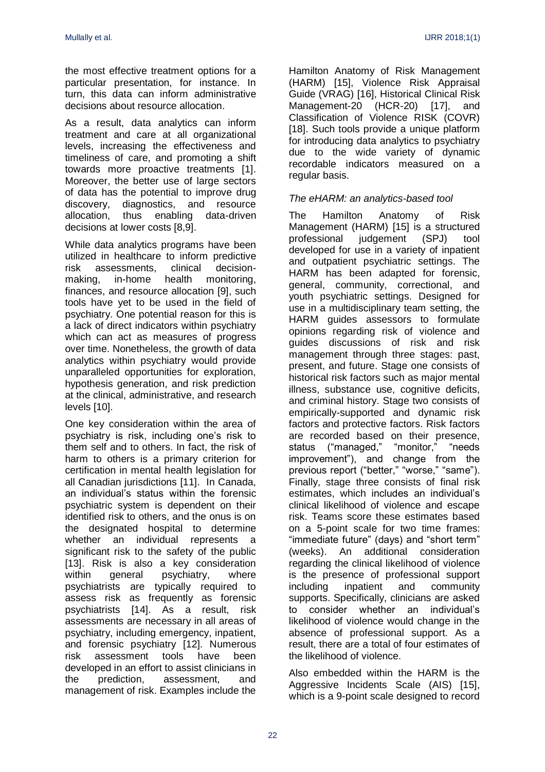the most effective treatment options for a particular presentation, for instance. In turn, this data can inform administrative decisions about resource allocation.

As a result, data analytics can inform treatment and care at all organizational levels, increasing the effectiveness and timeliness of care, and promoting a shift towards more proactive treatments [1]. Moreover, the better use of large sectors of data has the potential to improve drug discovery, diagnostics, and resource allocation, thus enabling data-driven decisions at lower costs [8,9].

While data analytics programs have been utilized in healthcare to inform predictive risk assessments, clinical decisionmaking, in-home health monitoring, finances, and resource allocation [9], such tools have yet to be used in the field of psychiatry. One potential reason for this is a lack of direct indicators within psychiatry which can act as measures of progress over time. Nonetheless, the growth of data analytics within psychiatry would provide unparalleled opportunities for exploration, hypothesis generation, and risk prediction at the clinical, administrative, and research levels [10].

One key consideration within the area of psychiatry is risk, including one's risk to them self and to others. In fact, the risk of harm to others is a primary criterion for certification in mental health legislation for all Canadian jurisdictions [11]. In Canada, an individual's status within the forensic psychiatric system is dependent on their identified risk to others, and the onus is on the designated hospital to determine whether an individual represents a significant risk to the safety of the public [13]. Risk is also a key consideration within general psychiatry, where psychiatrists are typically required to assess risk as frequently as forensic psychiatrists [14]. As a result, risk assessments are necessary in all areas of psychiatry, including emergency, inpatient, and forensic psychiatry [12]. Numerous risk assessment tools have been developed in an effort to assist clinicians in the prediction, assessment, and management of risk. Examples include the

Hamilton Anatomy of Risk Management (HARM) [15], Violence Risk Appraisal Guide (VRAG) [16], Historical Clinical Risk Management-20 (HCR-20) [17], and Classification of Violence RISK (COVR) [18]. Such tools provide a unique platform for introducing data analytics to psychiatry due to the wide variety of dynamic recordable indicators measured on a regular basis.

## *The eHARM: an analytics-based tool*

The Hamilton Anatomy of Risk Management (HARM) [15] is a structured professional judgement (SPJ) tool developed for use in a variety of inpatient and outpatient psychiatric settings. The HARM has been adapted for forensic, general, community, correctional, and youth psychiatric settings. Designed for use in a multidisciplinary team setting, the HARM guides assessors to formulate opinions regarding risk of violence and guides discussions of risk and risk management through three stages: past, present, and future. Stage one consists of historical risk factors such as major mental illness, substance use, cognitive deficits, and criminal history. Stage two consists of empirically-supported and dynamic risk factors and protective factors. Risk factors are recorded based on their presence,<br>status ("managed," "monitor," "needs status ("managed," "monitor," "needs improvement"), and change from the previous report ("better," "worse," "same"). Finally, stage three consists of final risk estimates, which includes an individual's clinical likelihood of violence and escape risk. Teams score these estimates based on a 5-point scale for two time frames: "immediate future" (days) and "short term" (weeks). An additional consideration regarding the clinical likelihood of violence is the presence of professional support including inpatient and community supports. Specifically, clinicians are asked to consider whether an individual's likelihood of violence would change in the absence of professional support. As a result, there are a total of four estimates of the likelihood of violence.

Also embedded within the HARM is the Aggressive Incidents Scale (AIS) [15], which is a 9-point scale designed to record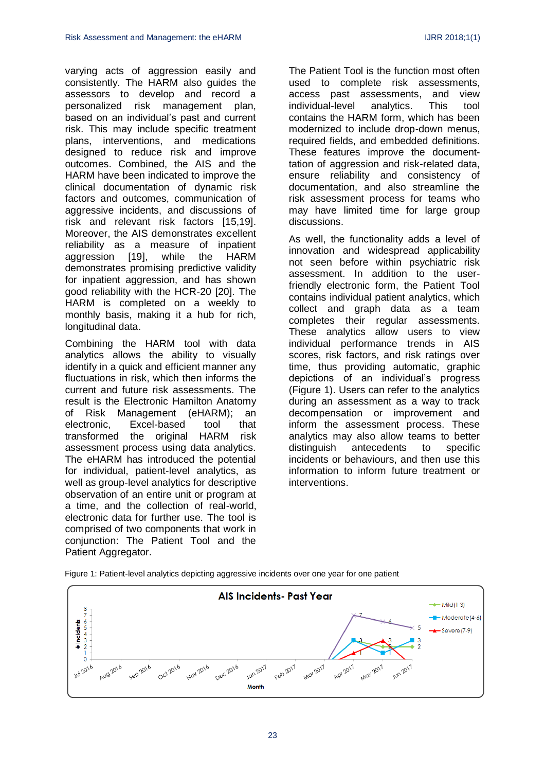varying acts of aggression easily and consistently. The HARM also guides the assessors to develop and record a personalized risk management plan, based on an individual's past and current risk. This may include specific treatment plans, interventions, and medications designed to reduce risk and improve outcomes. Combined, the AIS and the HARM have been indicated to improve the clinical documentation of dynamic risk factors and outcomes, communication of aggressive incidents, and discussions of risk and relevant risk factors [15,19]. Moreover, the AIS demonstrates excellent reliability as a measure of inpatient aggression [19], while the HARM demonstrates promising predictive validity for inpatient aggression, and has shown good reliability with the HCR-20 [20]. The HARM is completed on a weekly to monthly basis, making it a hub for rich, longitudinal data.

Combining the HARM tool with data analytics allows the ability to visually identify in a quick and efficient manner any fluctuations in risk, which then informs the current and future risk assessments. The result is the Electronic Hamilton Anatomy of Risk Management (eHARM); an electronic, Excel-based tool that transformed the original HARM risk assessment process using data analytics. The eHARM has introduced the potential for individual, patient-level analytics, as well as group-level analytics for descriptive observation of an entire unit or program at a time, and the collection of real-world, electronic data for further use. The tool is comprised of two components that work in conjunction: The Patient Tool and the Patient Aggregator.

The Patient Tool is the function most often used to complete risk assessments, access past assessments, and view individual-level analytics. This tool contains the HARM form, which has been modernized to include drop-down menus, required fields, and embedded definitions. These features improve the documenttation of aggression and risk-related data, ensure reliability and consistency of documentation, and also streamline the risk assessment process for teams who may have limited time for large group discussions.

As well, the functionality adds a level of innovation and widespread applicability not seen before within psychiatric risk assessment. In addition to the userfriendly electronic form, the Patient Tool contains individual patient analytics, which collect and graph data as a team completes their regular assessments. These analytics allow users to view individual performance trends in AIS scores, risk factors, and risk ratings over time, thus providing automatic, graphic depictions of an individual's progress (Figure 1). Users can refer to the analytics during an assessment as a way to track decompensation or improvement and inform the assessment process. These analytics may also allow teams to better distinguish antecedents to specific incidents or behaviours, and then use this information to inform future treatment or interventions.



Figure 1: Patient-level analytics depicting aggressive incidents over one year for one patient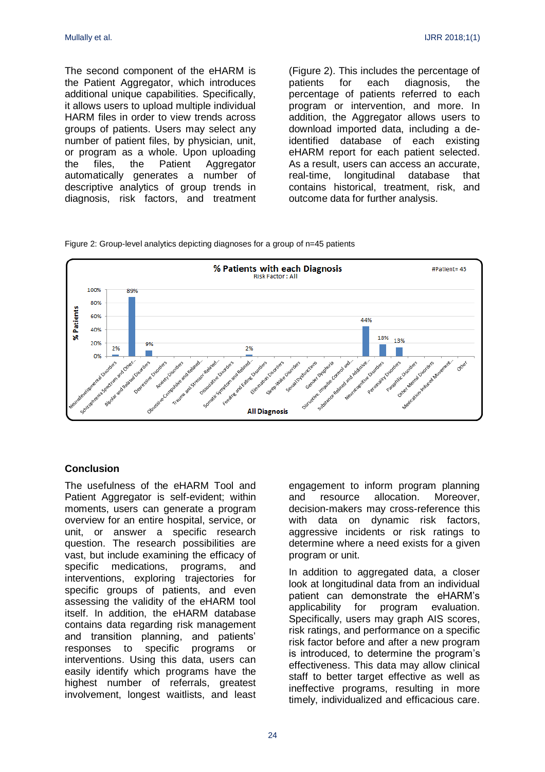The second component of the eHARM is the Patient Aggregator, which introduces additional unique capabilities. Specifically, it allows users to upload multiple individual HARM files in order to view trends across groups of patients. Users may select any number of patient files, by physician, unit, or program as a whole. Upon uploading the files, the Patient Aggregator automatically generates a number of descriptive analytics of group trends in diagnosis, risk factors, and treatment (Figure 2). This includes the percentage of patients for each diagnosis, the percentage of patients referred to each program or intervention, and more. In addition, the Aggregator allows users to download imported data, including a deidentified database of each existing eHARM report for each patient selected. As a result, users can access an accurate, real-time, longitudinal database that contains historical, treatment, risk, and outcome data for further analysis.





### **Conclusion**

The usefulness of the eHARM Tool and Patient Aggregator is self-evident; within moments, users can generate a program overview for an entire hospital, service, or unit, or answer a specific research question. The research possibilities are vast, but include examining the efficacy of specific medications, programs, and interventions, exploring trajectories for specific groups of patients, and even assessing the validity of the eHARM tool itself. In addition, the eHARM database contains data regarding risk management and transition planning, and patients' responses to specific programs or interventions. Using this data, users can easily identify which programs have the highest number of referrals, greatest involvement, longest waitlists, and least

engagement to inform program planning and resource allocation. Moreover, decision-makers may cross-reference this with data on dynamic risk factors, aggressive incidents or risk ratings to determine where a need exists for a given program or unit.

In addition to aggregated data, a closer look at longitudinal data from an individual patient can demonstrate the eHARM's applicability for program evaluation. Specifically, users may graph AIS scores, risk ratings, and performance on a specific risk factor before and after a new program is introduced, to determine the program's effectiveness. This data may allow clinical staff to better target effective as well as ineffective programs, resulting in more timely, individualized and efficacious care.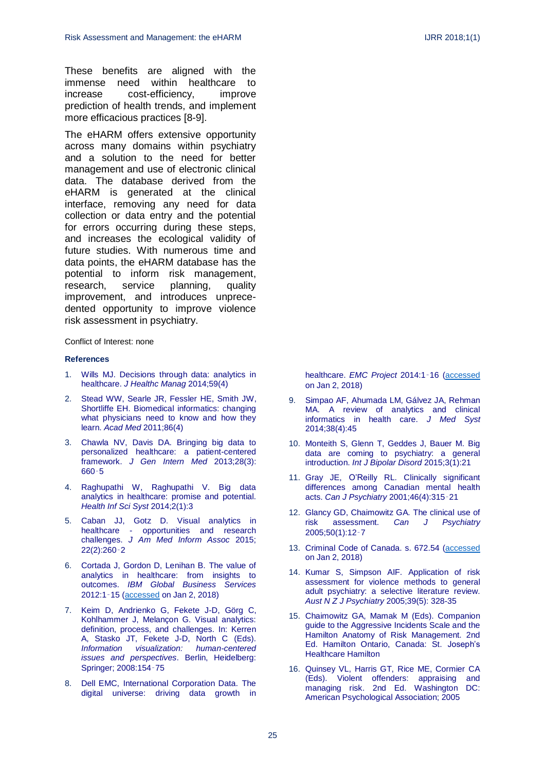These benefits are aligned with the immense need within healthcare to increase cost-efficiency, improve prediction of health trends, and implement more efficacious practices [8-9].

The eHARM offers extensive opportunity across many domains within psychiatry and a solution to the need for better management and use of electronic clinical data. The database derived from the eHARM is generated at the clinical interface, removing any need for data collection or data entry and the potential for errors occurring during these steps, and increases the ecological validity of future studies. With numerous time and data points, the eHARM database has the potential to inform risk management, research, service planning, quality improvement, and introduces unprecedented opportunity to improve violence risk assessment in psychiatry.

Conflict of Interest: none

#### **References**

- 1. Wills MJ. Decisions through data: analytics in healthcare. *J Healthc Manag* 2014;59(4)
- 2. Stead WW, Searle JR, Fessler HE, Smith JW, Shortliffe EH. Biomedical informatics: changing what physicians need to know and how they learn. *Acad Med* 2011;86(4)
- 3. Chawla NV, Davis DA. Bringing big data to personalized healthcare: a patient-centered framework. *J Gen Intern Med* 2013;28(3): 660‑5
- 4. Raghupathi W, Raghupathi V. Big data analytics in healthcare: promise and potential. *Health Inf Sci Syst* 2014;2(1):3
- 5. Caban JJ, Gotz D. Visual analytics in healthcare - opportunities and research challenges. *J Am Med Inform Assoc* 2015; 22(2):260‑2
- 6. Cortada J, Gordon D, Lenihan B. The value of analytics in healthcare: from insights to outcomes. *IBM Global Business Services* 2012:1‑15 [\(accessed](https://public.dhe.ibm.com/common/ssi/ecm/gb/en/gbe03473usen/GBE03473USEN.PDF) on Jan 2, 2018)
- 7. Keim D, Andrienko G, Fekete J-D, Görg C, Kohlhammer J, Melançon G. Visual analytics: definition, process, and challenges. In: Kerren A, Stasko JT, Fekete J-D, North C (Eds). *Information visualization: human-centered issues and perspectives*. Berlin, Heidelberg: Springer; 2008:154‑75
- 8. Dell EMC, International Corporation Data. The digital universe: driving data growth in

healthcare. *EMC Project* 2014:1‑16 [\(accessed](https://www.emc.com/analyst-report/digital-universe-healthcare-vertical-report-ar.pdf) on Jan 2, 2018)

- 9. Simpao AF, Ahumada LM, Gálvez JA, Rehman MA. A review of analytics and clinical informatics in health care. *J Med Syst* 2014;38(4):45
- 10. Monteith S, Glenn T, Geddes J, Bauer M. Big data are coming to psychiatry: a general introduction. *Int J Bipolar Disord* 2015;3(1):21
- 11. Gray JE, O'Reilly RL. Clinically significant differences among Canadian mental health acts. *Can J Psychiatry* 2001;46(4):315‑21
- 12. Glancy GD, Chaimowitz GA. The clinical use of risk assessment. *Can J Psychiatry* 2005;50(1):12‑7
- 13. Criminal Code of Canada. s. 672.54 [\(accessed](http://laws-lois.justice.gc.ca/PDF/C-46.pdf) on Jan 2, 2018)
- 14. Kumar S, Simpson AIF. Application of risk assessment for violence methods to general adult psychiatry: a selective literature review. *Aust N Z J Psychiatry* 2005;39(5): 328-35
- 15. Chaimowitz GA, Mamak M (Eds). Companion guide to the Aggressive Incidents Scale and the Hamilton Anatomy of Risk Management. 2nd Ed. Hamilton Ontario, Canada: St. Joseph's Healthcare Hamilton
- 16. Quinsey VL, Harris GT, Rice ME, Cormier CA (Eds). Violent offenders: appraising and managing risk. 2nd Ed. Washington DC: American Psychological Association; 2005